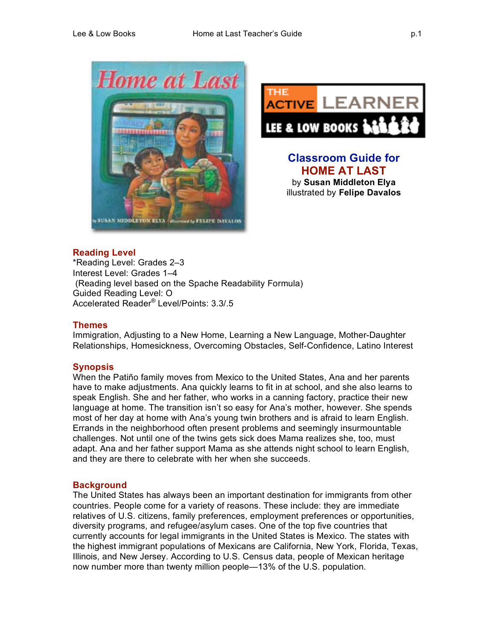



**Classroom Guide for HOME AT LAST** by **Susan Middleton Elya** illustrated by **Felipe Davalos**

# **Reading Level**

\*Reading Level: Grades 2–3 Interest Level: Grades 1–4 (Reading level based on the Spache Readability Formula) Guided Reading Level: O Accelerated Reader® Level/Points: 3.3/.5

## **Themes**

Immigration, Adjusting to a New Home, Learning a New Language, Mother-Daughter Relationships, Homesickness, Overcoming Obstacles, Self-Confidence, Latino Interest

# **Synopsis**

When the Patiño family moves from Mexico to the United States, Ana and her parents have to make adjustments. Ana quickly learns to fit in at school, and she also learns to speak English. She and her father, who works in a canning factory, practice their new language at home. The transition isn't so easy for Ana's mother, however. She spends most of her day at home with Ana's young twin brothers and is afraid to learn English. Errands in the neighborhood often present problems and seemingly insurmountable challenges. Not until one of the twins gets sick does Mama realizes she, too, must adapt. Ana and her father support Mama as she attends night school to learn English, and they are there to celebrate with her when she succeeds.

## **Background**

The United States has always been an important destination for immigrants from other countries. People come for a variety of reasons. These include: they are immediate relatives of U.S. citizens, family preferences, employment preferences or opportunities, diversity programs, and refugee/asylum cases. One of the top five countries that currently accounts for legal immigrants in the United States is Mexico. The states with the highest immigrant populations of Mexicans are California, New York, Florida, Texas, Illinois, and New Jersey. According to U.S. Census data, people of Mexican heritage now number more than twenty million people—13% of the U.S. population.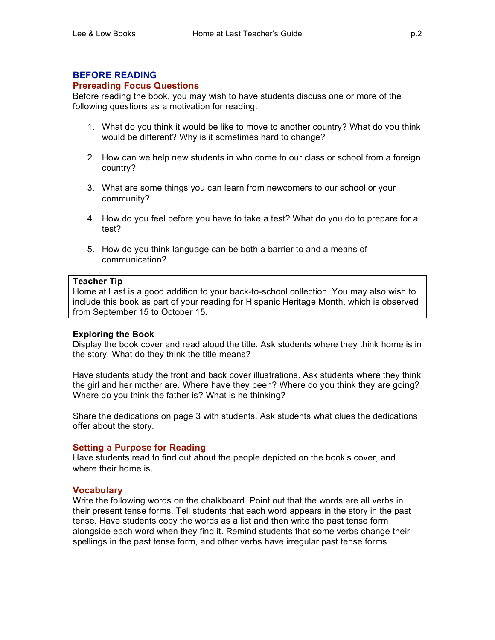## **BEFORE READING**

#### **Prereading Focus Questions**

Before reading the book, you may wish to have students discuss one or more of the following questions as a motivation for reading.

- 1. What do you think it would be like to move to another country? What do you think would be different? Why is it sometimes hard to change?
- 2. How can we help new students in who come to our class or school from a foreign country?
- 3. What are some things you can learn from newcomers to our school or your community?
- 4. How do you feel before you have to take a test? What do you do to prepare for a test?
- 5. How do you think language can be both a barrier to and a means of communication?

#### **Teacher Tip**

Home at Last is a good addition to your back-to-school collection. You may also wish to include this book as part of your reading for Hispanic Heritage Month, which is observed from September 15 to October 15.

#### **Exploring the Book**

Display the book cover and read aloud the title. Ask students where they think home is in the story. What do they think the title means?

Have students study the front and back cover illustrations. Ask students where they think the girl and her mother are. Where have they been? Where do you think they are going? Where do you think the father is? What is he thinking?

Share the dedications on page 3 with students. Ask students what clues the dedications offer about the story.

#### **Setting a Purpose for Reading**

Have students read to find out about the people depicted on the book's cover, and where their home is.

#### **Vocabulary**

Write the following words on the chalkboard. Point out that the words are all verbs in their present tense forms. Tell students that each word appears in the story in the past tense. Have students copy the words as a list and then write the past tense form alongside each word when they find it. Remind students that some verbs change their spellings in the past tense form, and other verbs have irregular past tense forms.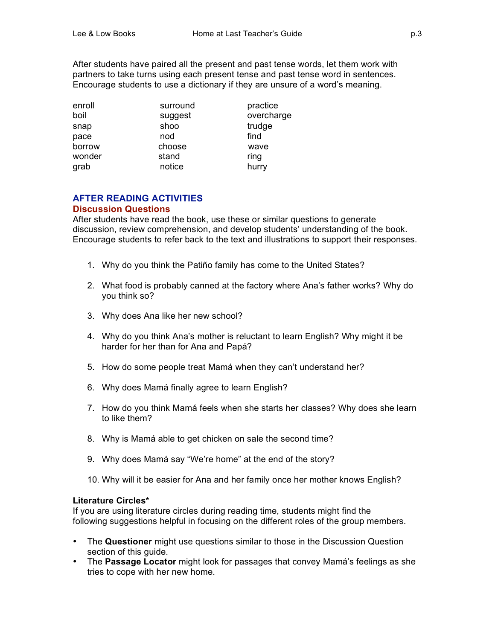After students have paired all the present and past tense words, let them work with partners to take turns using each present tense and past tense word in sentences. Encourage students to use a dictionary if they are unsure of a word's meaning.

| enroll | surround | practice   |
|--------|----------|------------|
| boil   | suggest  | overcharge |
| snap   | shoo     | trudge     |
| pace   | nod      | find       |
| borrow | choose   | wave       |
| wonder | stand    | ring       |
| grab   | notice   | hurry      |

## **AFTER READING ACTIVITIES Discussion Questions**

After students have read the book, use these or similar questions to generate discussion, review comprehension, and develop students' understanding of the book. Encourage students to refer back to the text and illustrations to support their responses.

- 1. Why do you think the Patiño family has come to the United States?
- 2. What food is probably canned at the factory where Ana's father works? Why do you think so?
- 3. Why does Ana like her new school?
- 4. Why do you think Ana's mother is reluctant to learn English? Why might it be harder for her than for Ana and Papá?
- 5. How do some people treat Mamá when they can't understand her?
- 6. Why does Mamá finally agree to learn English?
- 7. How do you think Mamá feels when she starts her classes? Why does she learn to like them?
- 8. Why is Mamá able to get chicken on sale the second time?
- 9. Why does Mamá say "We're home" at the end of the story?
- 10. Why will it be easier for Ana and her family once her mother knows English?

#### **Literature Circles\***

If you are using literature circles during reading time, students might find the following suggestions helpful in focusing on the different roles of the group members.

- The **Questioner** might use questions similar to those in the Discussion Question section of this guide.
- The **Passage Locator** might look for passages that convey Mamá's feelings as she tries to cope with her new home.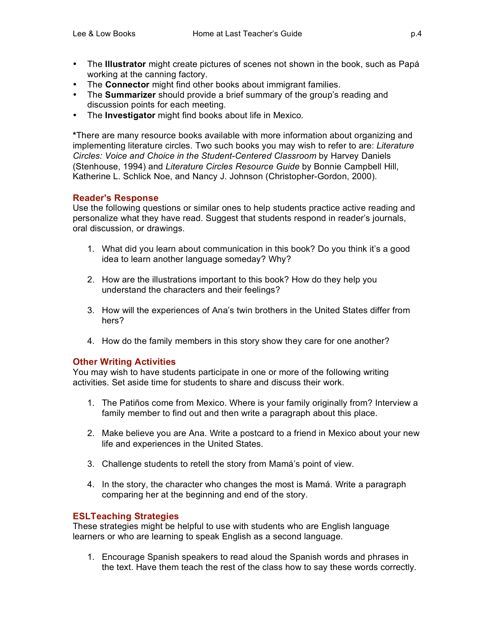- The **Illustrator** might create pictures of scenes not shown in the book, such as Papá working at the canning factory.
- The **Connector** might find other books about immigrant families.
- The **Summarizer** should provide a brief summary of the group's reading and discussion points for each meeting.
- The **Investigator** might find books about life in Mexico.

**\***There are many resource books available with more information about organizing and implementing literature circles. Two such books you may wish to refer to are: *Literature Circles: Voice and Choice in the Student-Centered Classroom* by Harvey Daniels (Stenhouse, 1994) and *Literature Circles Resource Guide* by Bonnie Campbell Hill, Katherine L. Schlick Noe, and Nancy J. Johnson (Christopher-Gordon, 2000).

# **Reader's Response**

Use the following questions or similar ones to help students practice active reading and personalize what they have read. Suggest that students respond in reader's journals, oral discussion, or drawings.

- 1. What did you learn about communication in this book? Do you think it's a good idea to learn another language someday? Why?
- 2. How are the illustrations important to this book? How do they help you understand the characters and their feelings?
- 3. How will the experiences of Ana's twin brothers in the United States differ from hers?
- 4. How do the family members in this story show they care for one another?

## **Other Writing Activities**

You may wish to have students participate in one or more of the following writing activities. Set aside time for students to share and discuss their work.

- 1. The Patiños come from Mexico. Where is your family originally from? Interview a family member to find out and then write a paragraph about this place.
- 2. Make believe you are Ana. Write a postcard to a friend in Mexico about your new life and experiences in the United States.
- 3. Challenge students to retell the story from Mamá's point of view.
- 4. In the story, the character who changes the most is Mamá. Write a paragraph comparing her at the beginning and end of the story.

## **ESLTeaching Strategies**

These strategies might be helpful to use with students who are English language learners or who are learning to speak English as a second language.

1. Encourage Spanish speakers to read aloud the Spanish words and phrases in the text. Have them teach the rest of the class how to say these words correctly.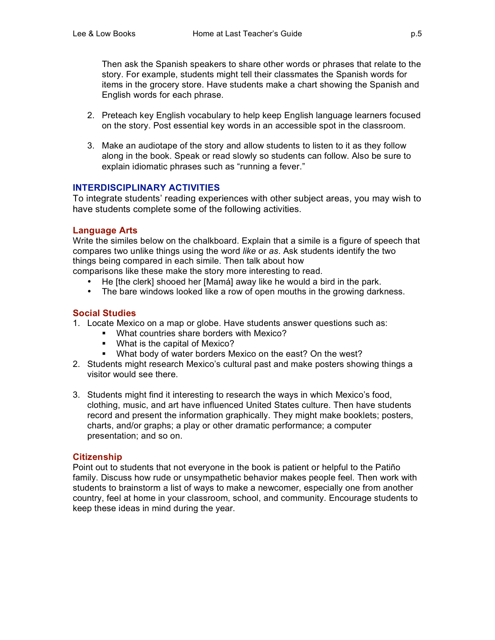Then ask the Spanish speakers to share other words or phrases that relate to the story. For example, students might tell their classmates the Spanish words for items in the grocery store. Have students make a chart showing the Spanish and English words for each phrase.

- 2. Preteach key English vocabulary to help keep English language learners focused on the story. Post essential key words in an accessible spot in the classroom.
- 3. Make an audiotape of the story and allow students to listen to it as they follow along in the book. Speak or read slowly so students can follow. Also be sure to explain idiomatic phrases such as "running a fever."

## **INTERDISCIPLINARY ACTIVITIES**

To integrate students' reading experiences with other subject areas, you may wish to have students complete some of the following activities.

#### **Language Arts**

Write the similes below on the chalkboard. Explain that a simile is a figure of speech that compares two unlike things using the word *like* or *as*. Ask students identify the two things being compared in each simile. Then talk about how

comparisons like these make the story more interesting to read.

- He [the clerk] shooed her [Mamá] away like he would a bird in the park.
- The bare windows looked like a row of open mouths in the growing darkness.

## **Social Studies**

- 1. Locate Mexico on a map or globe. Have students answer questions such as:
	- What countries share borders with Mexico?
	- **What is the capital of Mexico?**
	- **What body of water borders Mexico on the east? On the west?**
- 2. Students might research Mexico's cultural past and make posters showing things a visitor would see there.
- 3. Students might find it interesting to research the ways in which Mexico's food, clothing, music, and art have influenced United States culture. Then have students record and present the information graphically. They might make booklets; posters, charts, and/or graphs; a play or other dramatic performance; a computer presentation; and so on.

## **Citizenship**

Point out to students that not everyone in the book is patient or helpful to the Patiño family. Discuss how rude or unsympathetic behavior makes people feel. Then work with students to brainstorm a list of ways to make a newcomer, especially one from another country, feel at home in your classroom, school, and community. Encourage students to keep these ideas in mind during the year.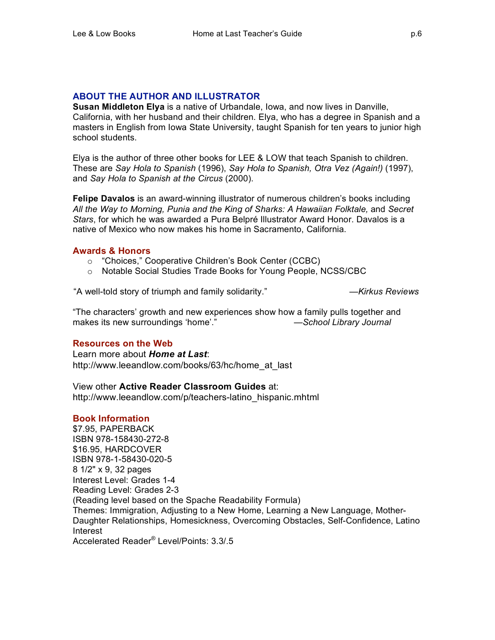## **ABOUT THE AUTHOR AND ILLUSTRATOR**

**Susan Middleton Elya** is a native of Urbandale, Iowa, and now lives in Danville, California, with her husband and their children. Elya, who has a degree in Spanish and a masters in English from Iowa State University, taught Spanish for ten years to junior high school students.

Elya is the author of three other books for LEE & LOW that teach Spanish to children. These are *Say Hola to Spanish* (1996), *Say Hola to Spanish, Otra Vez (Again!)* (1997), and *Say Hola to Spanish at the Circus* (2000).

**Felipe Davalos** is an award-winning illustrator of numerous children's books including All the Way to Morning, Punia and the King of Sharks: A Hawaiian Folktale, and Secret *Stars*, for which he was awarded a Pura Belpré Illustrator Award Honor. Davalos is a native of Mexico who now makes his home in Sacramento, California.

## **Awards & Honors**

- o "Choices," Cooperative Children's Book Center (CCBC)
- o Notable Social Studies Trade Books for Young People, NCSS/CBC

"A well-told story of triumph and family solidarity." *—Kirkus Reviews*

"The characters' growth and new experiences show how a family pulls together and makes its new surroundings 'home'." *—School Library Journal*

## **Resources on the Web**

Learn more about *Home at Last*: http://www.leeandlow.com/books/63/hc/home\_at\_last

View other **Active Reader Classroom Guides** at: http://www.leeandlow.com/p/teachers-latino\_hispanic.mhtml

## **Book Information**

\$7.95, PAPERBACK ISBN 978-158430-272-8 \$16.95, HARDCOVER ISBN 978-1-58430-020-5 8 1/2" x 9, 32 pages Interest Level: Grades 1-4 Reading Level: Grades 2-3 (Reading level based on the Spache Readability Formula) Themes: Immigration, Adjusting to a New Home, Learning a New Language, Mother-Daughter Relationships, Homesickness, Overcoming Obstacles, Self-Confidence, Latino Interest Accelerated Reader® Level/Points: 3.3/.5